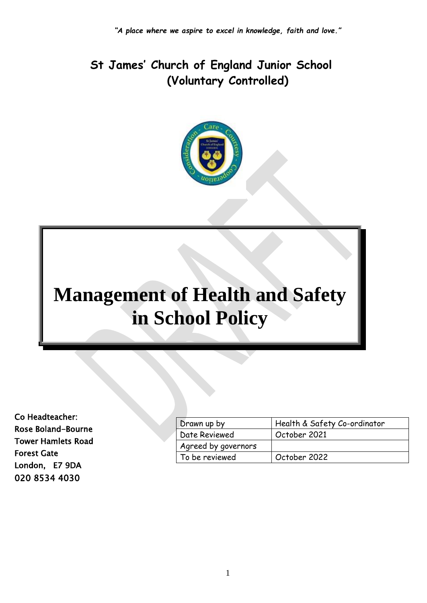# **St James' Church of England Junior School (Voluntary Controlled)**



# **Management of Health and Safety in School Policy**

Co Headteacher: Rose Boland-Bourne Tower Hamlets Road Forest Gate London, E7 9DA 020 8534 4030

| Drawn up by         | Health & Safety Co-ordinator |
|---------------------|------------------------------|
| Date Reviewed       | October 2021                 |
| Agreed by governors |                              |
| To be reviewed      | October 2022                 |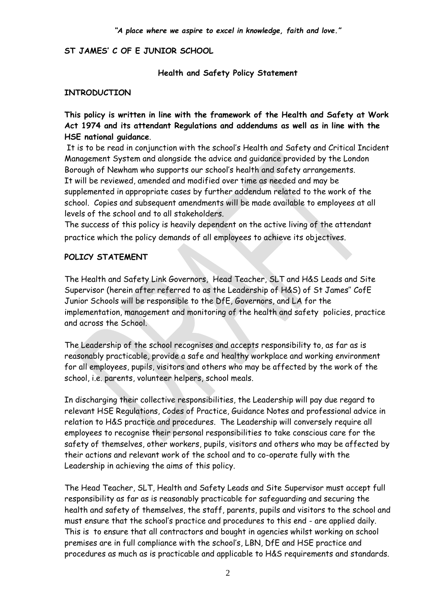#### **ST JAMES' C OF E JUNIOR SCHOOL**

**Health and Safety Policy Statement**

#### **INTRODUCTION**

**This policy is written in line with the framework of the Health and Safety at Work Act 1974 and its attendant Regulations and addendums as well as in line with the HSE national guidance**.

It is to be read in conjunction with the school's Health and Safety and Critical Incident Management System and alongside the advice and guidance provided by the London Borough of Newham who supports our school's health and safety arrangements. It will be reviewed, amended and modified over time as needed and may be supplemented in appropriate cases by further addendum related to the work of the school. Copies and subsequent amendments will be made available to employees at all levels of the school and to all stakeholders.

The success of this policy is heavily dependent on the active living of the attendant practice which the policy demands of all employees to achieve its objectives.

#### **POLICY STATEMENT**

The Health and Safety Link Governors, Head Teacher, SLT and H&S Leads and Site Supervisor (herein after referred to as the Leadership of H&S) of St James'' CofE Junior Schools will be responsible to the DfE, Governors, and LA for the implementation, management and monitoring of the health and safety policies, practice and across the School.

The Leadership of the school recognises and accepts responsibility to, as far as is reasonably practicable, provide a safe and healthy workplace and working environment for all employees, pupils, visitors and others who may be affected by the work of the school, i.e. parents, volunteer helpers, school meals.

In discharging their collective responsibilities, the Leadership will pay due regard to relevant HSE Regulations, Codes of Practice, Guidance Notes and professional advice in relation to H&S practice and procedures. The Leadership will conversely require all employees to recognise their personal responsibilities to take conscious care for the safety of themselves, other workers, pupils, visitors and others who may be affected by their actions and relevant work of the school and to co-operate fully with the Leadership in achieving the aims of this policy.

The Head Teacher, SLT, Health and Safety Leads and Site Supervisor must accept full responsibility as far as is reasonably practicable for safeguarding and securing the health and safety of themselves, the staff, parents, pupils and visitors to the school and must ensure that the school's practice and procedures to this end - are applied daily. This is to ensure that all contractors and bought in agencies whilst working on school premises are in full compliance with the school's, LBN, DfE and HSE practice and procedures as much as is practicable and applicable to H&S requirements and standards.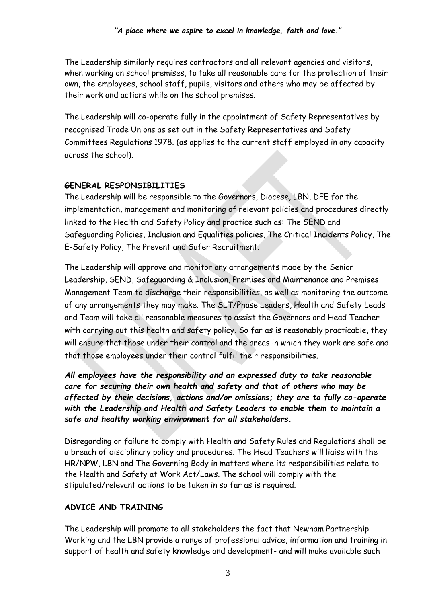The Leadership similarly requires contractors and all relevant agencies and visitors, when working on school premises, to take all reasonable care for the protection of their own, the employees, school staff, pupils, visitors and others who may be affected by their work and actions while on the school premises.

The Leadership will co-operate fully in the appointment of Safety Representatives by recognised Trade Unions as set out in the Safety Representatives and Safety Committees Regulations 1978. (as applies to the current staff employed in any capacity across the school).

#### **GENERAL RESPONSIBILITIES**

The Leadership will be responsible to the Governors, Diocese, LBN, DFE for the implementation, management and monitoring of relevant policies and procedures directly linked to the Health and Safety Policy and practice such as: The SEND and Safeguarding Policies, Inclusion and Equalities policies, The Critical Incidents Policy, The E-Safety Policy, The Prevent and Safer Recruitment.

The Leadership will approve and monitor any arrangements made by the Senior Leadership, SEND, Safeguarding & Inclusion, Premises and Maintenance and Premises Management Team to discharge their responsibilities, as well as monitoring the outcome of any arrangements they may make. The SLT/Phase Leaders, Health and Safety Leads and Team will take all reasonable measures to assist the Governors and Head Teacher with carrying out this health and safety policy. So far as is reasonably practicable, they will ensure that those under their control and the areas in which they work are safe and that those employees under their control fulfil their responsibilities.

*All employees have the responsibility and an expressed duty to take reasonable care for securing their own health and safety and that of others who may be affected by their decisions, actions and/or omissions; they are to fully co-operate with the Leadership and Health and Safety Leaders to enable them to maintain a safe and healthy working environment for all stakeholders.* 

Disregarding or failure to comply with Health and Safety Rules and Regulations shall be a breach of disciplinary policy and procedures. The Head Teachers will liaise with the HR/NPW, LBN and The Governing Body in matters where its responsibilities relate to the Health and Safety at Work Act/Laws. The school will comply with the stipulated/relevant actions to be taken in so far as is required.

#### **ADVICE AND TRAINING**

The Leadership will promote to all stakeholders the fact that Newham Partnership Working and the LBN provide a range of professional advice, information and training in support of health and safety knowledge and development- and will make available such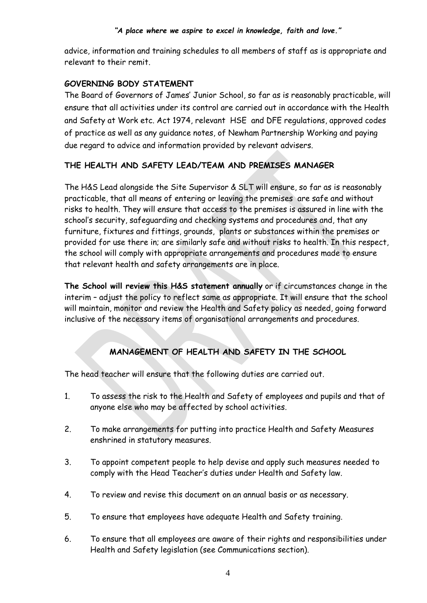advice, information and training schedules to all members of staff as is appropriate and relevant to their remit.

#### **GOVERNING BODY STATEMENT**

The Board of Governors of James' Junior School, so far as is reasonably practicable, will ensure that all activities under its control are carried out in accordance with the Health and Safety at Work etc. Act 1974, relevant HSE and DFE regulations, approved codes of practice as well as any guidance notes, of Newham Partnership Working and paying due regard to advice and information provided by relevant advisers.

#### **THE HEALTH AND SAFETY LEAD/TEAM AND PREMISES MANAGER**

The H&S Lead alongside the Site Supervisor & SLT will ensure, so far as is reasonably practicable, that all means of entering or leaving the premises are safe and without risks to health. They will ensure that access to the premises is assured in line with the school's security, safeguarding and checking systems and procedures and, that any furniture, fixtures and fittings, grounds, plants or substances within the premises or provided for use there in; are similarly safe and without risks to health. In this respect, the school will comply with appropriate arrangements and procedures made to ensure that relevant health and safety arrangements are in place.

**The School will review this H&S statement annually** or if circumstances change in the interim – adjust the policy to reflect same as appropriate. It will ensure that the school will maintain, monitor and review the Health and Safety policy as needed, going forward inclusive of the necessary items of organisational arrangements and procedures.

### **MANAGEMENT OF HEALTH AND SAFETY IN THE SCHOOL**

The head teacher will ensure that the following duties are carried out.

- 1. To assess the risk to the Health and Safety of employees and pupils and that of anyone else who may be affected by school activities.
- 2. To make arrangements for putting into practice Health and Safety Measures enshrined in statutory measures.
- 3. To appoint competent people to help devise and apply such measures needed to comply with the Head Teacher's duties under Health and Safety law.
- 4. To review and revise this document on an annual basis or as necessary.
- 5. To ensure that employees have adequate Health and Safety training.
- 6. To ensure that all employees are aware of their rights and responsibilities under Health and Safety legislation (see Communications section).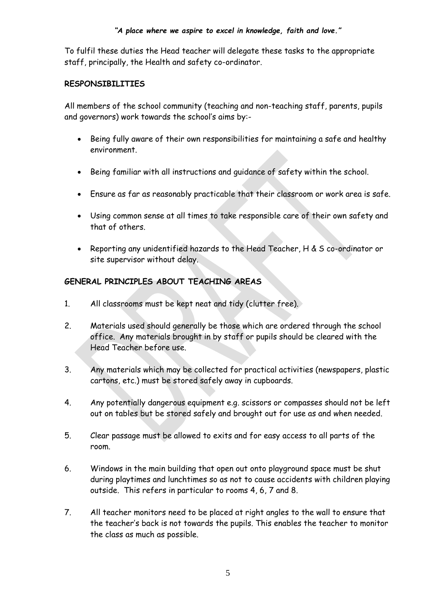To fulfil these duties the Head teacher will delegate these tasks to the appropriate staff, principally, the Health and safety co-ordinator.

#### **RESPONSIBILITIES**

All members of the school community (teaching and non-teaching staff, parents, pupils and governors) work towards the school's aims by:-

- Being fully aware of their own responsibilities for maintaining a safe and healthy environment.
- Being familiar with all instructions and guidance of safety within the school.
- Ensure as far as reasonably practicable that their classroom or work area is safe.
- Using common sense at all times to take responsible care of their own safety and that of others.
- Reporting any unidentified hazards to the Head Teacher, H & S co-ordinator or site supervisor without delay.

#### **GENERAL PRINCIPLES ABOUT TEACHING AREAS**

- 1. All classrooms must be kept neat and tidy (clutter free).
- 2. Materials used should generally be those which are ordered through the school office. Any materials brought in by staff or pupils should be cleared with the Head Teacher before use.
- 3. Any materials which may be collected for practical activities (newspapers, plastic cartons, etc.) must be stored safely away in cupboards.
- 4. Any potentially dangerous equipment e.g. scissors or compasses should not be left out on tables but be stored safely and brought out for use as and when needed.
- 5. Clear passage must be allowed to exits and for easy access to all parts of the room.
- 6. Windows in the main building that open out onto playground space must be shut during playtimes and lunchtimes so as not to cause accidents with children playing outside. This refers in particular to rooms 4, 6, 7 and 8.
- 7. All teacher monitors need to be placed at right angles to the wall to ensure that the teacher's back is not towards the pupils. This enables the teacher to monitor the class as much as possible.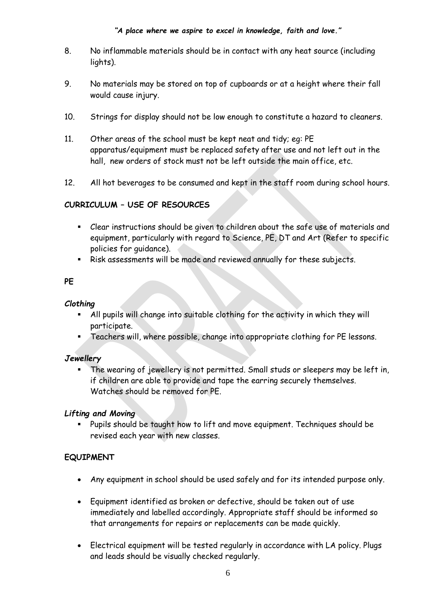- 8. No inflammable materials should be in contact with any heat source (including lights).
- 9. No materials may be stored on top of cupboards or at a height where their fall would cause injury.
- 10. Strings for display should not be low enough to constitute a hazard to cleaners.
- 11. Other areas of the school must be kept neat and tidy; eg: PE apparatus/equipment must be replaced safety after use and not left out in the hall, new orders of stock must not be left outside the main office, etc.
- 12. All hot beverages to be consumed and kept in the staff room during school hours.

#### **CURRICULUM – USE OF RESOURCES**

- Clear instructions should be given to children about the safe use of materials and equipment, particularly with regard to Science, PE, DT and Art (Refer to specific policies for guidance).
- Risk assessments will be made and reviewed annually for these subjects.

#### **PE**

#### *Clothing*

- All pupils will change into suitable clothing for the activity in which they will participate.
- Teachers will, where possible, change into appropriate clothing for PE lessons.

#### *Jewellery*

The wearing of jewellery is not permitted. Small studs or sleepers may be left in, if children are able to provide and tape the earring securely themselves. Watches should be removed for PE.

#### *Lifting and Moving*

Pupils should be taught how to lift and move equipment. Techniques should be revised each year with new classes.

#### **EQUIPMENT**

- Any equipment in school should be used safely and for its intended purpose only.
- Equipment identified as broken or defective, should be taken out of use immediately and labelled accordingly. Appropriate staff should be informed so that arrangements for repairs or replacements can be made quickly.
- Electrical equipment will be tested regularly in accordance with LA policy. Plugs and leads should be visually checked regularly.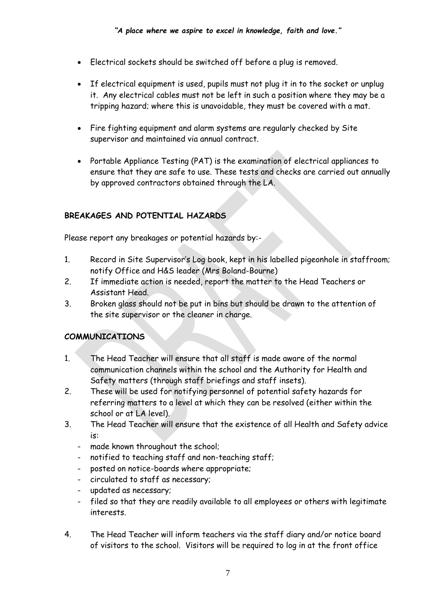- Electrical sockets should be switched off before a plug is removed.
- If electrical equipment is used, pupils must not plug it in to the socket or unplug it. Any electrical cables must not be left in such a position where they may be a tripping hazard; where this is unavoidable, they must be covered with a mat.
- Fire fighting equipment and alarm systems are regularly checked by Site supervisor and maintained via annual contract.
- Portable Appliance Testing (PAT) is the examination of electrical appliances to ensure that they are safe to use. These tests and checks are carried out annually by approved contractors obtained through the LA.

#### **BREAKAGES AND POTENTIAL HAZARDS**

Please report any breakages or potential hazards by:-

- 1. Record in Site Supervisor's Log book, kept in his labelled pigeonhole in staffroom; notify Office and H&S leader (Mrs Boland-Bourne)
- 2. If immediate action is needed, report the matter to the Head Teachers or Assistant Head.
- 3. Broken glass should not be put in bins but should be drawn to the attention of the site supervisor or the cleaner in charge.

#### **COMMUNICATIONS**

- 1. The Head Teacher will ensure that all staff is made aware of the normal communication channels within the school and the Authority for Health and Safety matters (through staff briefings and staff insets).
- 2. These will be used for notifying personnel of potential safety hazards for referring matters to a level at which they can be resolved (either within the school or at LA level).
- 3. The Head Teacher will ensure that the existence of all Health and Safety advice is:
	- made known throughout the school;
	- notified to teaching staff and non-teaching staff;
	- posted on notice-boards where appropriate;
	- circulated to staff as necessary;
	- updated as necessary;
	- filed so that they are readily available to all employees or others with legitimate interests.
- 4. The Head Teacher will inform teachers via the staff diary and/or notice board of visitors to the school. Visitors will be required to log in at the front office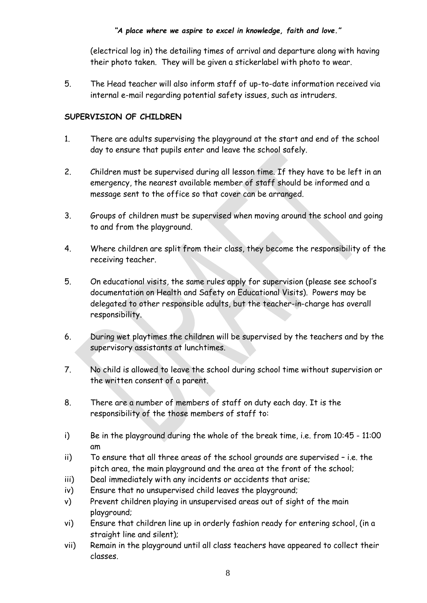(electrical log in) the detailing times of arrival and departure along with having their photo taken. They will be given a stickerlabel with photo to wear.

5. The Head teacher will also inform staff of up-to-date information received via internal e-mail regarding potential safety issues, such as intruders.

#### **SUPERVISION OF CHILDREN**

- 1. There are adults supervising the playground at the start and end of the school day to ensure that pupils enter and leave the school safely.
- 2. Children must be supervised during all lesson time. If they have to be left in an emergency, the nearest available member of staff should be informed and a message sent to the office so that cover can be arranged.
- 3. Groups of children must be supervised when moving around the school and going to and from the playground.
- 4. Where children are split from their class, they become the responsibility of the receiving teacher.
- 5. On educational visits, the same rules apply for supervision (please see school's documentation on Health and Safety on Educational Visits). Powers may be delegated to other responsible adults, but the teacher-in-charge has overall responsibility.
- 6. During wet playtimes the children will be supervised by the teachers and by the supervisory assistants at lunchtimes.
- 7. No child is allowed to leave the school during school time without supervision or the written consent of a parent.
- 8. There are a number of members of staff on duty each day. It is the responsibility of the those members of staff to:
- i) Be in the playground during the whole of the break time, i.e. from 10:45 11:00 am
- ii) To ensure that all three areas of the school grounds are supervised i.e. the pitch area, the main playground and the area at the front of the school;
- iii) Deal immediately with any incidents or accidents that arise;
- iv) Ensure that no unsupervised child leaves the playground;
- v) Prevent children playing in unsupervised areas out of sight of the main playground;
- vi) Ensure that children line up in orderly fashion ready for entering school, (in a straight line and silent);
- vii) Remain in the playground until all class teachers have appeared to collect their classes.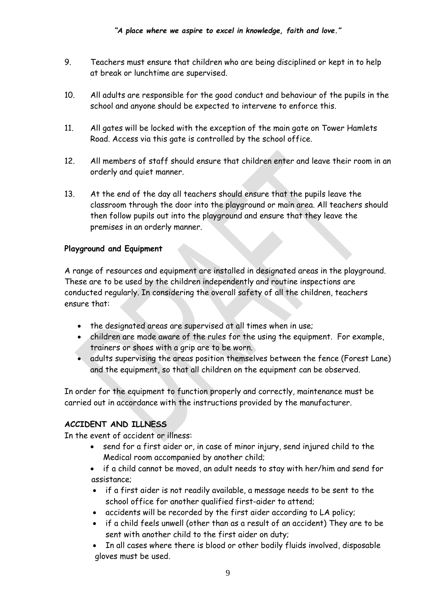- 9. Teachers must ensure that children who are being disciplined or kept in to help at break or lunchtime are supervised.
- 10. All adults are responsible for the good conduct and behaviour of the pupils in the school and anyone should be expected to intervene to enforce this.
- 11. All gates will be locked with the exception of the main gate on Tower Hamlets Road. Access via this gate is controlled by the school office.
- 12. All members of staff should ensure that children enter and leave their room in an orderly and quiet manner.
- 13. At the end of the day all teachers should ensure that the pupils leave the classroom through the door into the playground or main area. All teachers should then follow pupils out into the playground and ensure that they leave the premises in an orderly manner.

#### **Playground and Equipment**

A range of resources and equipment are installed in designated areas in the playground. These are to be used by the children independently and routine inspections are conducted regularly. In considering the overall safety of all the children, teachers ensure that:

- the designated areas are supervised at all times when in use;
- children are made aware of the rules for the using the equipment. For example, trainers or shoes with a grip are to be worn.
- adults supervising the areas position themselves between the fence (Forest Lane) and the equipment, so that all children on the equipment can be observed.

In order for the equipment to function properly and correctly, maintenance must be carried out in accordance with the instructions provided by the manufacturer.

#### **ACCIDENT AND ILLNESS**

In the event of accident or illness:

- send for a first aider or, in case of minor injury, send injured child to the Medical room accompanied by another child;
- if a child cannot be moved, an adult needs to stay with her/him and send for assistance;
- if a first aider is not readily available, a message needs to be sent to the school office for another qualified first-aider to attend;
- accidents will be recorded by the first aider according to LA policy;
- if a child feels unwell (other than as a result of an accident) They are to be sent with another child to the first aider on duty;
- In all cases where there is blood or other bodily fluids involved, disposable gloves must be used.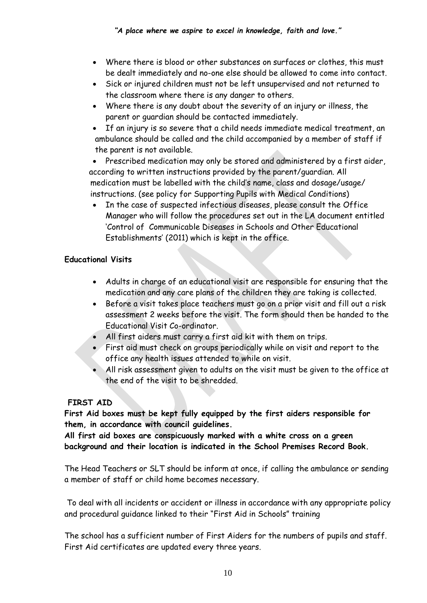- Where there is blood or other substances on surfaces or clothes, this must be dealt immediately and no-one else should be allowed to come into contact.
- Sick or injured children must not be left unsupervised and not returned to the classroom where there is any danger to others.
- Where there is any doubt about the severity of an injury or illness, the parent or guardian should be contacted immediately.
- If an injury is so severe that a child needs immediate medical treatment, an ambulance should be called and the child accompanied by a member of staff if the parent is not available.

• Prescribed medication may only be stored and administered by a first aider, according to written instructions provided by the parent/guardian. All medication must be labelled with the child's name, class and dosage/usage/ instructions. (see policy for Supporting Pupils with Medical Conditions)

• In the case of suspected infectious diseases, please consult the Office Manager who will follow the procedures set out in the LA document entitled 'Control of Communicable Diseases in Schools and Other Educational Establishments' (2011) which is kept in the office.

#### **Educational Visits**

- Adults in charge of an educational visit are responsible for ensuring that the medication and any care plans of the children they are taking is collected.
- Before a visit takes place teachers must go on a prior visit and fill out a risk assessment 2 weeks before the visit. The form should then be handed to the Educational Visit Co-ordinator.
- All first aiders must carry a first aid kit with them on trips.
- First aid must check on groups periodically while on visit and report to the office any health issues attended to while on visit.
- All risk assessment given to adults on the visit must be given to the office at the end of the visit to be shredded.

#### **FIRST AID**

**First Aid boxes must be kept fully equipped by the first aiders responsible for them, in accordance with council guidelines.**

**All first aid boxes are conspicuously marked with a white cross on a green background and their location is indicated in the School Premises Record Book.**

The Head Teachers or SLT should be inform at once, if calling the ambulance or sending a member of staff or child home becomes necessary.

To deal with all incidents or accident or illness in accordance with any appropriate policy and procedural guidance linked to their "First Aid in Schools" training

The school has a sufficient number of First Aiders for the numbers of pupils and staff. First Aid certificates are updated every three years.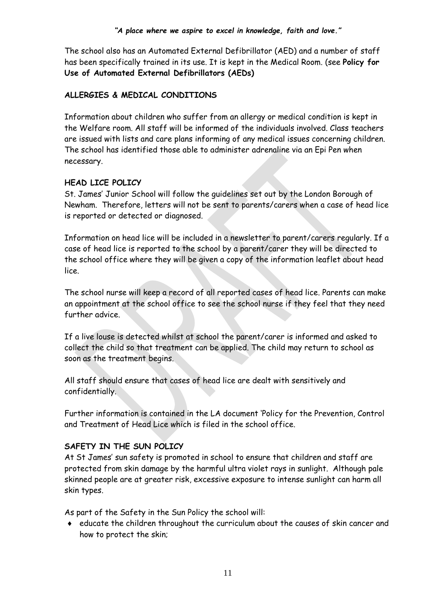The school also has an Automated External Defibrillator (AED) and a number of staff has been specifically trained in its use. It is kept in the Medical Room. (see **Policy for Use of Automated External Defibrillators (AEDs)**

#### **ALLERGIES & MEDICAL CONDITIONS**

Information about children who suffer from an allergy or medical condition is kept in the Welfare room. All staff will be informed of the individuals involved. Class teachers are issued with lists and care plans informing of any medical issues concerning children. The school has identified those able to administer adrenaline via an Epi Pen when necessary.

#### **HEAD LICE POLICY**

St. James' Junior School will follow the guidelines set out by the London Borough of Newham. Therefore, letters will not be sent to parents/carers when a case of head lice is reported or detected or diagnosed.

Information on head lice will be included in a newsletter to parent/carers regularly. If a case of head lice is reported to the school by a parent/carer they will be directed to the school office where they will be given a copy of the information leaflet about head lice.

The school nurse will keep a record of all reported cases of head lice. Parents can make an appointment at the school office to see the school nurse if they feel that they need further advice.

If a live louse is detected whilst at school the parent/carer is informed and asked to collect the child so that treatment can be applied. The child may return to school as soon as the treatment begins.

All staff should ensure that cases of head lice are dealt with sensitively and confidentially.

Further information is contained in the LA document 'Policy for the Prevention, Control and Treatment of Head Lice which is filed in the school office.

#### **SAFETY IN THE SUN POLICY**

At St James' sun safety is promoted in school to ensure that children and staff are protected from skin damage by the harmful ultra violet rays in sunlight. Although pale skinned people are at greater risk, excessive exposure to intense sunlight can harm all skin types.

As part of the Safety in the Sun Policy the school will:

 educate the children throughout the curriculum about the causes of skin cancer and how to protect the skin;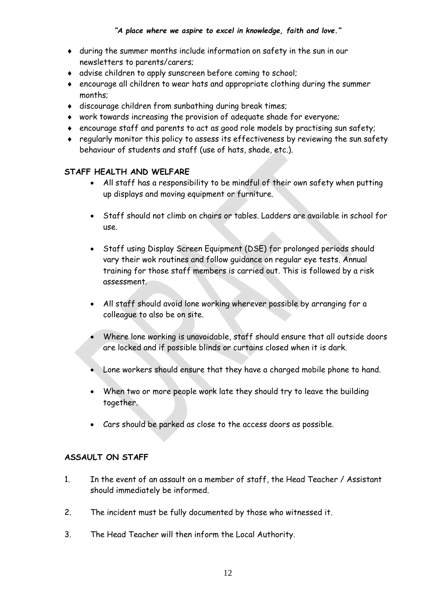- during the summer months include information on safety in the sun in our newsletters to parents/carers;
- advise children to apply sunscreen before coming to school;
- encourage all children to wear hats and appropriate clothing during the summer months;
- discourage children from sunbathing during break times;
- work towards increasing the provision of adequate shade for everyone;
- encourage staff and parents to act as good role models by practising sun safety;
- regularly monitor this policy to assess its effectiveness by reviewing the sun safety behaviour of students and staff (use of hats, shade, etc.).

#### **STAFF HEALTH AND WELFARE**

- All staff has a responsibility to be mindful of their own safety when putting up displays and moving equipment or furniture.
- Staff should not climb on chairs or tables. Ladders are available in school for use.
- Staff using Display Screen Equipment (DSE) for prolonged periods should vary their wok routines and follow guidance on regular eye tests. Annual training for those staff members is carried out. This is followed by a risk assessment.
- All staff should avoid lone working wherever possible by arranging for a colleague to also be on site.
- Where lone working is unavoidable, staff should ensure that all outside doors are locked and if possible blinds or curtains closed when it is dark.
- Lone workers should ensure that they have a charged mobile phone to hand.
- When two or more people work late they should try to leave the building together.
- Cars should be parked as close to the access doors as possible.

#### **ASSAULT ON STAFF**

- 1. In the event of an assault on a member of staff, the Head Teacher / Assistant should immediately be informed.
- 2. The incident must be fully documented by those who witnessed it.
- 3. The Head Teacher will then inform the Local Authority.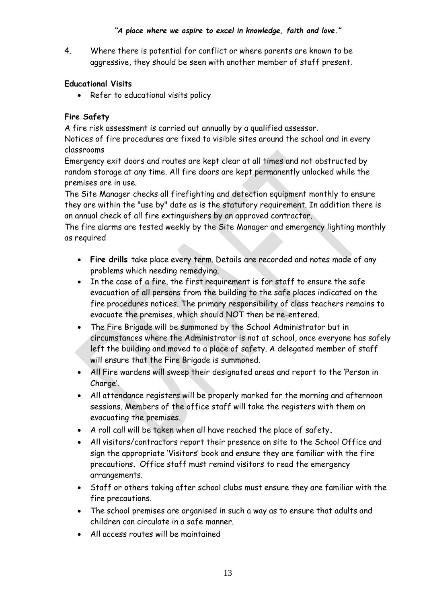4. Where there is potential for conflict or where parents are known to be aggressive, they should be seen with another member of staff present.

#### **Educational Visits**

• Refer to educational visits policy

#### **Fire Safety**

A fire risk assessment is carried out annually by a qualified assessor.

Notices of fire procedures are fixed to visible sites around the school and in every classrooms

Emergency exit doors and routes are kept clear at all times and not obstructed by random storage at any time. All fire doors are kept permanently unlocked while the premises are in use.

The Site Manager checks all firefighting and detection equipment monthly to ensure they are within the "use by" date as is the statutory requirement. In addition there is an annual check of all fire extinguishers by an approved contractor.

The fire alarms are tested weekly by the Site Manager and emergency lighting monthly as required

- **Fire drills** take place every term. Details are recorded and notes made of any problems which needing remedying.
- In the case of a fire, the first requirement is for staff to ensure the safe evacuation of all persons from the building to the safe places indicated on the fire procedures notices. The primary responsibility of class teachers remains to evacuate the premises, which should NOT then be re-entered.
- The Fire Brigade will be summoned by the School Administrator but in circumstances where the Administrator is not at school, once everyone has safely left the building and moved to a place of safety. A delegated member of staff will ensure that the Fire Brigade is summoned.
- All Fire wardens will sweep their designated areas and report to the 'Person in Charge'.
- All attendance registers will be properly marked for the morning and afternoon sessions. Members of the office staff will take the registers with them on evacuating the premises.
- A roll call will be taken when all have reached the place of safety**.**
- All visitors/contractors report their presence on site to the School Office and sign the appropriate 'Visitors' book and ensure they are familiar with the fire precautions**.** Office staff must remind visitors to read the emergency arrangements.
- Staff or others taking after school clubs must ensure they are familiar with the fire precautions.
- The school premises are organised in such a way as to ensure that adults and children can circulate in a safe manner.
- All access routes will be maintained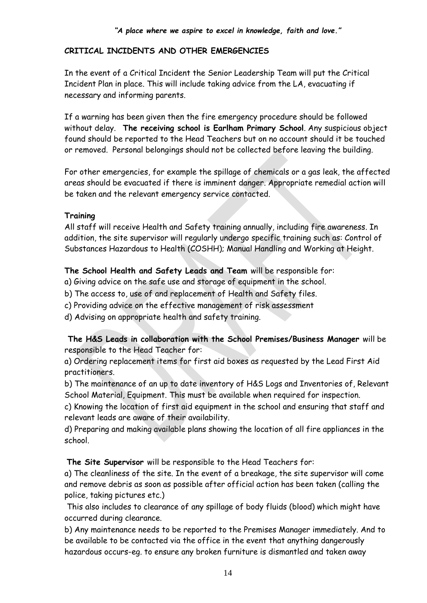#### **CRITICAL INCIDENTS AND OTHER EMERGENCIES**

In the event of a Critical Incident the Senior Leadership Team will put the Critical Incident Plan in place. This will include taking advice from the LA, evacuating if necessary and informing parents.

If a warning has been given then the fire emergency procedure should be followed without delay. **The receiving school is Earlham Primary School**. Any suspicious object found should be reported to the Head Teachers but on no account should it be touched or removed. Personal belongings should not be collected before leaving the building.

For other emergencies, for example the spillage of chemicals or a gas leak, the affected areas should be evacuated if there is imminent danger. Appropriate remedial action will be taken and the relevant emergency service contacted.

#### **Training**

All staff will receive Health and Safety training annually, including fire awareness. In addition, the site supervisor will regularly undergo specific training such as: Control of Substances Hazardous to Health (COSHH); Manual Handling and Working at Height.

#### **The School Health and Safety Leads and Team** will be responsible for:

a) Giving advice on the safe use and storage of equipment in the school.

b) The access to, use of and replacement of Health and Safety files.

c) Providing advice on the effective management of risk assessment

d) Advising on appropriate health and safety training.

#### **The H&S Leads in collaboration with the School Premises/Business Manager** will be responsible to the Head Teacher for:

a) Ordering replacement items for first aid boxes as requested by the Lead First Aid practitioners.

b) The maintenance of an up to date inventory of H&S Logs and Inventories of, Relevant School Material, Equipment. This must be available when required for inspection.

c) Knowing the location of first aid equipment in the school and ensuring that staff and relevant leads are aware of their availability.

d) Preparing and making available plans showing the location of all fire appliances in the school.

**The Site Supervisor** will be responsible to the Head Teachers for:

a) The cleanliness of the site. In the event of a breakage, the site supervisor will come and remove debris as soon as possible after official action has been taken (calling the police, taking pictures etc.)

This also includes to clearance of any spillage of body fluids (blood) which might have occurred during clearance.

b) Any maintenance needs to be reported to the Premises Manager immediately. And to be available to be contacted via the office in the event that anything dangerously hazardous occurs-eg. to ensure any broken furniture is dismantled and taken away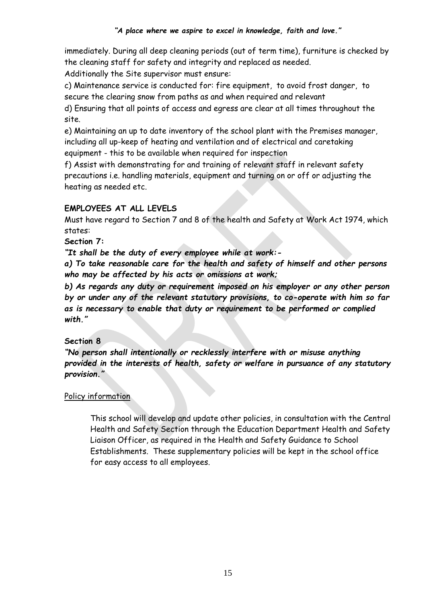immediately. During all deep cleaning periods (out of term time), furniture is checked by the cleaning staff for safety and integrity and replaced as needed.

Additionally the Site supervisor must ensure:

c) Maintenance service is conducted for: fire equipment, to avoid frost danger, to secure the clearing snow from paths as and when required and relevant

d) Ensuring that all points of access and egress are clear at all times throughout the site.

e) Maintaining an up to date inventory of the school plant with the Premises manager, including all up-keep of heating and ventilation and of electrical and caretaking equipment - this to be available when required for inspection

f) Assist with demonstrating for and training of relevant staff in relevant safety precautions i.e. handling materials, equipment and turning on or off or adjusting the heating as needed etc.

#### **EMPLOYEES AT ALL LEVELS**

Must have regard to Section 7 and 8 of the health and Safety at Work Act 1974, which states:

**Section 7:**

*"It shall be the duty of every employee while at work:-*

*a) To take reasonable care for the health and safety of himself and other persons who may be affected by his acts or omissions at work;* 

*b) As regards any duty or requirement imposed on his employer or any other person by or under any of the relevant statutory provisions, to co-operate with him so far as is necessary to enable that duty or requirement to be performed or complied with."* 

#### **Section 8**

*"No person shall intentionally or recklessly interfere with or misuse anything provided in the interests of health, safety or welfare in pursuance of any statutory provision."* 

#### Policy information

This school will develop and update other policies, in consultation with the Central Health and Safety Section through the Education Department Health and Safety Liaison Officer, as required in the Health and Safety Guidance to School Establishments. These supplementary policies will be kept in the school office for easy access to all employees.